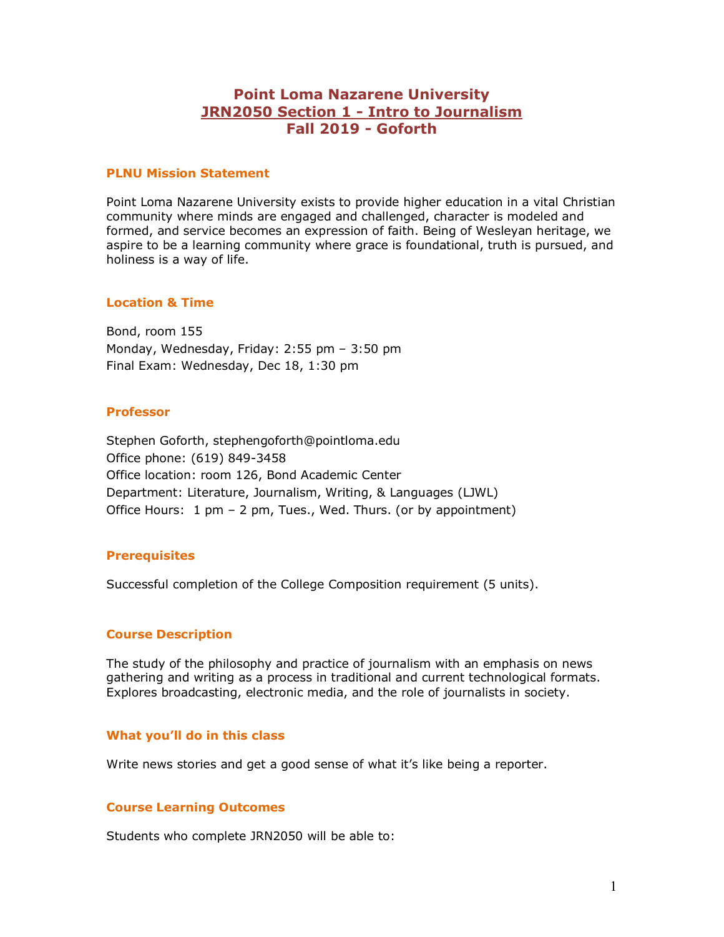# **Point Loma Nazarene University JRN2050 Section 1 - Intro to Journalism Fall 2019 - Goforth**

#### **PLNU Mission Statement**

Point Loma Nazarene University exists to provide higher education in a vital Christian community where minds are engaged and challenged, character is modeled and formed, and service becomes an expression of faith. Being of Wesleyan heritage, we aspire to be a learning community where grace is foundational, truth is pursued, and holiness is a way of life.

#### **Location & Time**

Bond, room 155 Monday, Wednesday, Friday: 2:55 pm – 3:50 pm Final Exam: Wednesday, Dec 18, 1:30 pm

#### **Professor**

Stephen Goforth, stephengoforth@pointloma.edu Office phone: (619) 849-3458 Office location: room 126, Bond Academic Center Department: Literature, Journalism, Writing, & Languages (LJWL) Office Hours: 1 pm – 2 pm, Tues., Wed. Thurs. (or by appointment)

## **Prerequisites**

Successful completion of the College Composition requirement (5 units).

### **Course Description**

The study of the philosophy and practice of journalism with an emphasis on news gathering and writing as a process in traditional and current technological formats. Explores broadcasting, electronic media, and the role of journalists in society.

### **What you'll do in this class**

Write news stories and get a good sense of what it's like being a reporter.

## **Course Learning Outcomes**

Students who complete JRN2050 will be able to: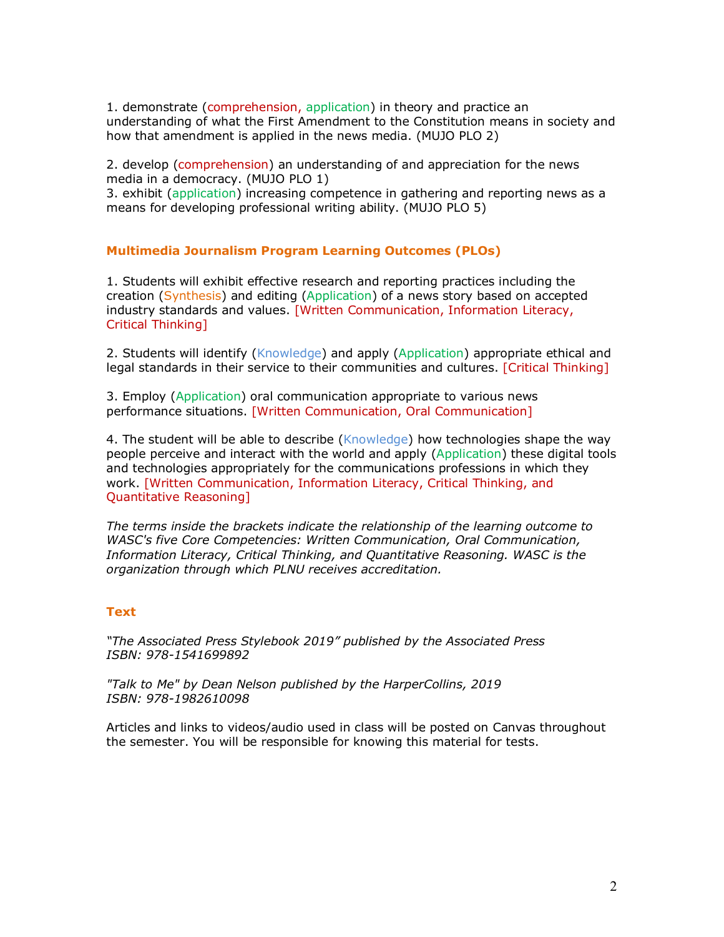1. demonstrate (comprehension, application) in theory and practice an understanding of what the First Amendment to the Constitution means in society and how that amendment is applied in the news media. (MUJO PLO 2)

2. develop (comprehension) an understanding of and appreciation for the news media in a democracy. (MUJO PLO 1)

3. exhibit (application) increasing competence in gathering and reporting news as a means for developing professional writing ability. (MUJO PLO 5)

### **Multimedia Journalism Program Learning Outcomes (PLOs)**

1. Students will exhibit effective research and reporting practices including the creation (Synthesis) and editing (Application) of a news story based on accepted industry standards and values. [Written Communication, Information Literacy, Critical Thinking]

2. Students will identify (Knowledge) and apply (Application) appropriate ethical and legal standards in their service to their communities and cultures. [Critical Thinking]

3. Employ (Application) oral communication appropriate to various news performance situations. [Written Communication, Oral Communication]

4. The student will be able to describe (Knowledge) how technologies shape the way people perceive and interact with the world and apply (Application) these digital tools and technologies appropriately for the communications professions in which they work. [Written Communication, Information Literacy, Critical Thinking, and Quantitative Reasoning]

*The terms inside the brackets indicate the relationship of the learning outcome to WASC's five Core Competencies: Written Communication, Oral Communication, Information Literacy, Critical Thinking, and Quantitative Reasoning. WASC is the organization through which PLNU receives accreditation.* 

### **Text**

*"The Associated Press Stylebook 2019" published by the Associated Press ISBN: 978-1541699892*

*"Talk to Me" by Dean Nelson published by the HarperCollins, 2019 ISBN: 978-1982610098*

Articles and links to videos/audio used in class will be posted on Canvas throughout the semester. You will be responsible for knowing this material for tests.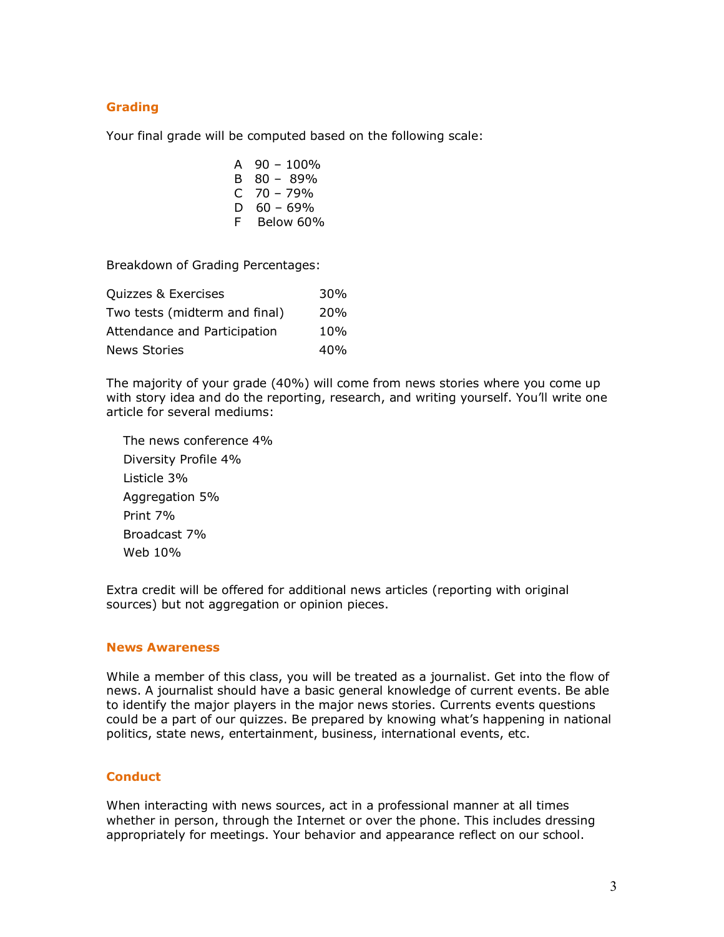# **Grading**

Your final grade will be computed based on the following scale:

- A  $90 100\%$ B 80 – 89%  $C$  70 – 79% D  $60 - 69%$
- F Below 60%

Breakdown of Grading Percentages:

| Quizzes & Exercises           | 30 <sub>%</sub> |
|-------------------------------|-----------------|
| Two tests (midterm and final) | 20 <sub>%</sub> |
| Attendance and Participation  | 10%             |
| <b>News Stories</b>           | 40%             |

The majority of your grade (40%) will come from news stories where you come up with story idea and do the reporting, research, and writing yourself. You'll write one article for several mediums:

 The news conference 4% Diversity Profile 4% Listicle 3% Aggregation 5% Print 7% Broadcast 7% Web 10%

Extra credit will be offered for additional news articles (reporting with original sources) but not aggregation or opinion pieces.

#### **News Awareness**

While a member of this class, you will be treated as a journalist. Get into the flow of news. A journalist should have a basic general knowledge of current events. Be able to identify the major players in the major news stories. Currents events questions could be a part of our quizzes. Be prepared by knowing what's happening in national politics, state news, entertainment, business, international events, etc.

### **Conduct**

When interacting with news sources, act in a professional manner at all times whether in person, through the Internet or over the phone. This includes dressing appropriately for meetings. Your behavior and appearance reflect on our school.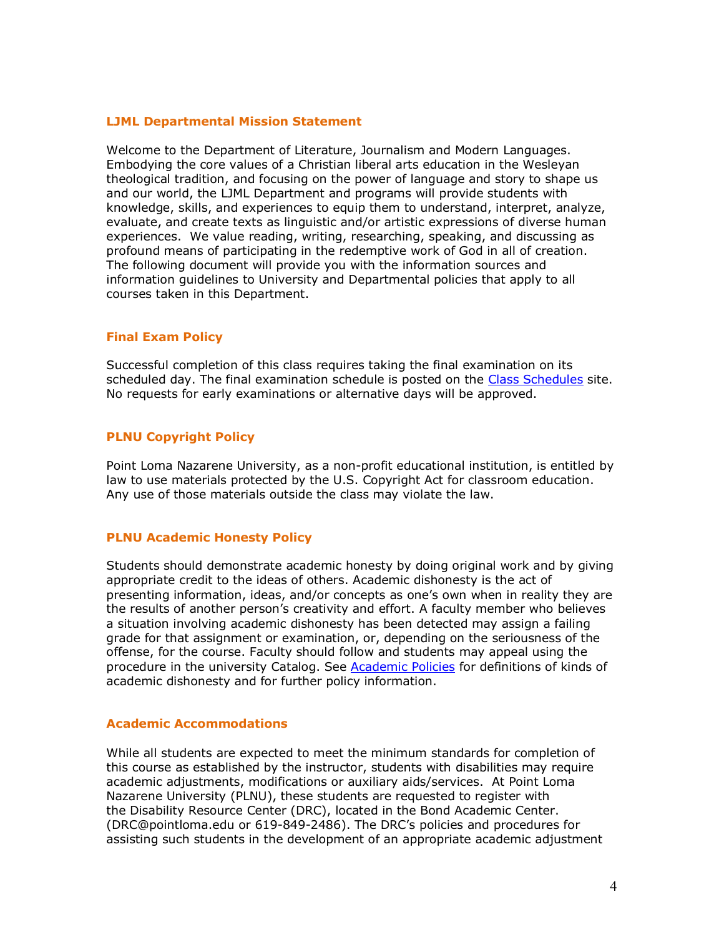#### **LJML Departmental Mission Statement**

Welcome to the Department of Literature, Journalism and Modern Languages. Embodying the core values of a Christian liberal arts education in the Wesleyan theological tradition, and focusing on the power of language and story to shape us and our world, the LJML Department and programs will provide students with knowledge, skills, and experiences to equip them to understand, interpret, analyze, evaluate, and create texts as linguistic and/or artistic expressions of diverse human experiences. We value reading, writing, researching, speaking, and discussing as profound means of participating in the redemptive work of God in all of creation. The following document will provide you with the information sources and information guidelines to University and Departmental policies that apply to all courses taken in this Department.

#### **Final Exam Policy**

Successful completion of this class requires taking the final examination on its scheduled day. The final examination schedule is posted on the Class Schedules site. No requests for early examinations or alternative days will be approved.

### **PLNU Copyright Policy**

Point Loma Nazarene University, as a non-profit educational institution, is entitled by law to use materials protected by the U.S. Copyright Act for classroom education. Any use of those materials outside the class may violate the law.

### **PLNU Academic Honesty Policy**

Students should demonstrate academic honesty by doing original work and by giving appropriate credit to the ideas of others. Academic dishonesty is the act of presenting information, ideas, and/or concepts as one's own when in reality they are the results of another person's creativity and effort. A faculty member who believes a situation involving academic dishonesty has been detected may assign a failing grade for that assignment or examination, or, depending on the seriousness of the offense, for the course. Faculty should follow and students may appeal using the procedure in the university Catalog. See Academic Policies for definitions of kinds of academic dishonesty and for further policy information.

#### **Academic Accommodations**

While all students are expected to meet the minimum standards for completion of this course as established by the instructor, students with disabilities may require academic adjustments, modifications or auxiliary aids/services. At Point Loma Nazarene University (PLNU), these students are requested to register with the Disability Resource Center (DRC), located in the Bond Academic Center. (DRC@pointloma.edu or 619-849-2486). The DRC's policies and procedures for assisting such students in the development of an appropriate academic adjustment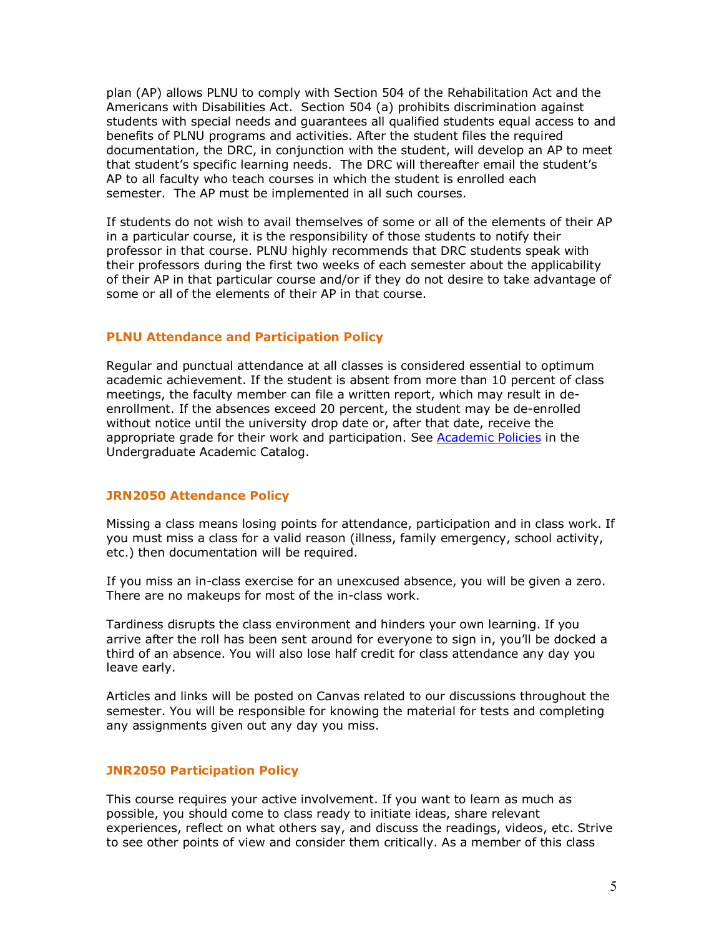plan (AP) allows PLNU to comply with Section 504 of the Rehabilitation Act and the Americans with Disabilities Act. Section 504 (a) prohibits discrimination against students with special needs and guarantees all qualified students equal access to and benefits of PLNU programs and activities. After the student files the required documentation, the DRC, in conjunction with the student, will develop an AP to meet that student's specific learning needs. The DRC will thereafter email the student's AP to all faculty who teach courses in which the student is enrolled each semester. The AP must be implemented in all such courses.

If students do not wish to avail themselves of some or all of the elements of their AP in a particular course, it is the responsibility of those students to notify their professor in that course. PLNU highly recommends that DRC students speak with their professors during the first two weeks of each semester about the applicability of their AP in that particular course and/or if they do not desire to take advantage of some or all of the elements of their AP in that course.

### **PLNU Attendance and Participation Policy**

Regular and punctual attendance at all classes is considered essential to optimum academic achievement. If the student is absent from more than 10 percent of class meetings, the faculty member can file a written report, which may result in deenrollment. If the absences exceed 20 percent, the student may be de-enrolled without notice until the university drop date or, after that date, receive the appropriate grade for their work and participation. See Academic Policies in the Undergraduate Academic Catalog.

### **JRN2050 Attendance Policy**

Missing a class means losing points for attendance, participation and in class work. If you must miss a class for a valid reason (illness, family emergency, school activity, etc.) then documentation will be required.

If you miss an in-class exercise for an unexcused absence, you will be given a zero. There are no makeups for most of the in-class work.

Tardiness disrupts the class environment and hinders your own learning. If you arrive after the roll has been sent around for everyone to sign in, you'll be docked a third of an absence. You will also lose half credit for class attendance any day you leave early.

Articles and links will be posted on Canvas related to our discussions throughout the semester. You will be responsible for knowing the material for tests and completing any assignments given out any day you miss.

### **JNR2050 Participation Policy**

This course requires your active involvement. If you want to learn as much as possible, you should come to class ready to initiate ideas, share relevant experiences, reflect on what others say, and discuss the readings, videos, etc. Strive to see other points of view and consider them critically. As a member of this class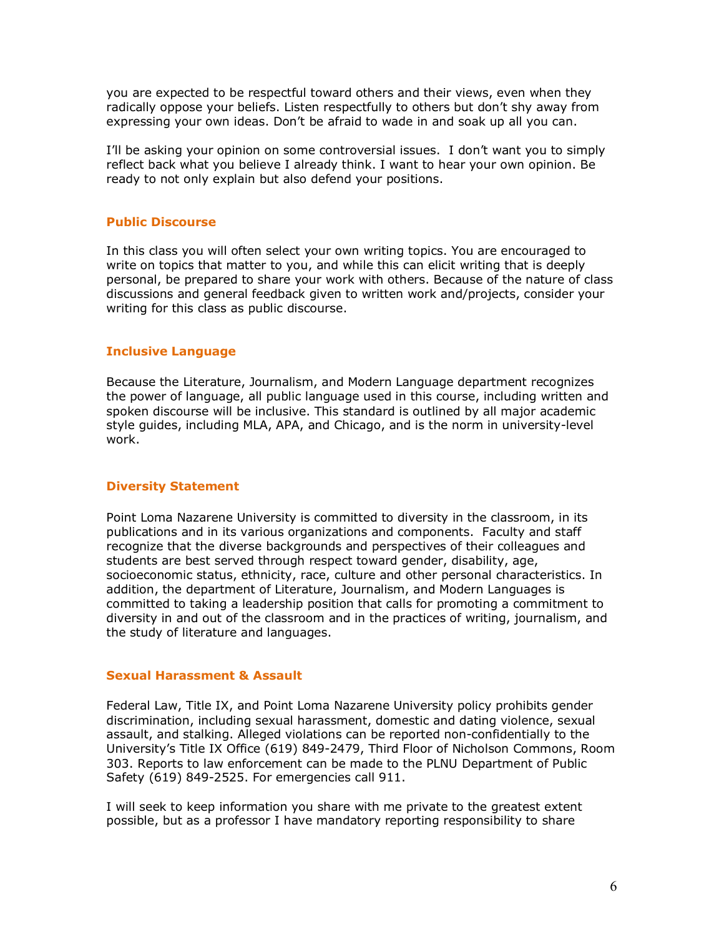you are expected to be respectful toward others and their views, even when they radically oppose your beliefs. Listen respectfully to others but don't shy away from expressing your own ideas. Don't be afraid to wade in and soak up all you can.

I'll be asking your opinion on some controversial issues. I don't want you to simply reflect back what you believe I already think. I want to hear your own opinion. Be ready to not only explain but also defend your positions.

### **Public Discourse**

In this class you will often select your own writing topics. You are encouraged to write on topics that matter to you, and while this can elicit writing that is deeply personal, be prepared to share your work with others. Because of the nature of class discussions and general feedback given to written work and/projects, consider your writing for this class as public discourse.

### **Inclusive Language**

Because the Literature, Journalism, and Modern Language department recognizes the power of language, all public language used in this course, including written and spoken discourse will be inclusive. This standard is outlined by all major academic style guides, including MLA, APA, and Chicago, and is the norm in university-level work.

#### **Diversity Statement**

Point Loma Nazarene University is committed to diversity in the classroom, in its publications and in its various organizations and components. Faculty and staff recognize that the diverse backgrounds and perspectives of their colleagues and students are best served through respect toward gender, disability, age, socioeconomic status, ethnicity, race, culture and other personal characteristics. In addition, the department of Literature, Journalism, and Modern Languages is committed to taking a leadership position that calls for promoting a commitment to diversity in and out of the classroom and in the practices of writing, journalism, and the study of literature and languages.

#### **Sexual Harassment & Assault**

Federal Law, Title IX, and Point Loma Nazarene University policy prohibits gender discrimination, including sexual harassment, domestic and dating violence, sexual assault, and stalking. Alleged violations can be reported non-confidentially to the University's Title IX Office (619) 849-2479, Third Floor of Nicholson Commons, Room 303. Reports to law enforcement can be made to the PLNU Department of Public Safety (619) 849-2525. For emergencies call 911.

I will seek to keep information you share with me private to the greatest extent possible, but as a professor I have mandatory reporting responsibility to share